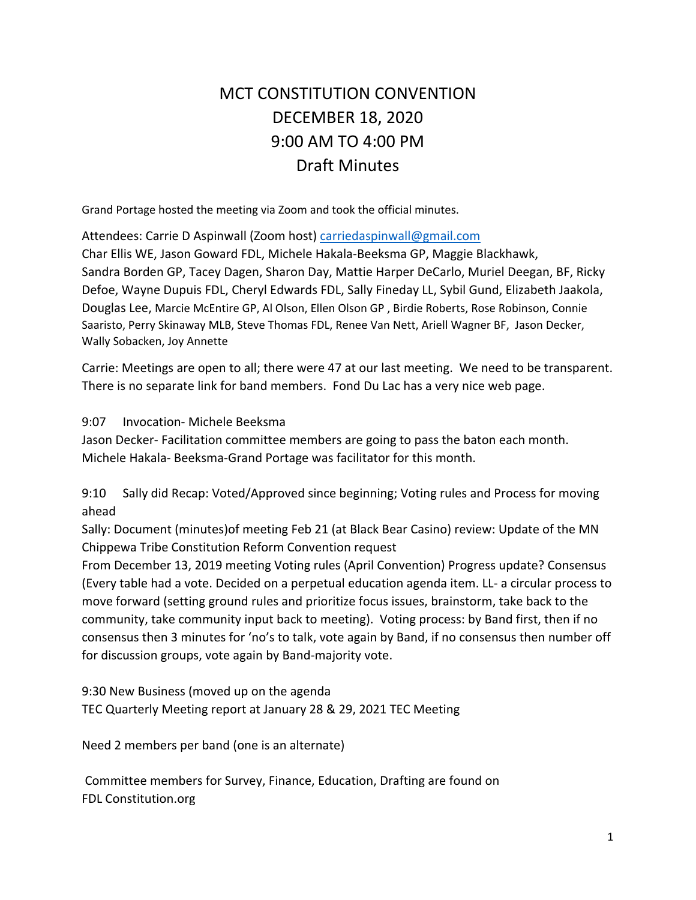# MCT CONSTITUTION CONVENTION DECEMBER 18, 2020 9:00 AM TO 4:00 PM Draft Minutes

Grand Portage hosted the meeting via Zoom and took the official minutes.

Attendees: Carrie D Aspinwall (Zoom host) carriedaspinwall@gmail.com

Char Ellis WE, Jason Goward FDL, Michele Hakala-Beeksma GP, Maggie Blackhawk, Sandra Borden GP, Tacey Dagen, Sharon Day, Mattie Harper DeCarlo, Muriel Deegan, BF, Ricky Defoe, Wayne Dupuis FDL, Cheryl Edwards FDL, Sally Fineday LL, Sybil Gund, Elizabeth Jaakola, Douglas Lee, Marcie McEntire GP, Al Olson, Ellen Olson GP , Birdie Roberts, Rose Robinson, Connie Saaristo, Perry Skinaway MLB, Steve Thomas FDL, Renee Van Nett, Ariell Wagner BF, Jason Decker, Wally Sobacken, Joy Annette

Carrie: Meetings are open to all; there were 47 at our last meeting. We need to be transparent. There is no separate link for band members. Fond Du Lac has a very nice web page.

9:07 Invocation- Michele Beeksma

Jason Decker- Facilitation committee members are going to pass the baton each month. Michele Hakala- Beeksma-Grand Portage was facilitator for this month.

9:10 Sally did Recap: Voted/Approved since beginning; Voting rules and Process for moving ahead

Sally: Document (minutes)of meeting Feb 21 (at Black Bear Casino) review: Update of the MN Chippewa Tribe Constitution Reform Convention request

From December 13, 2019 meeting Voting rules (April Convention) Progress update? Consensus (Every table had a vote. Decided on a perpetual education agenda item. LL- a circular process to move forward (setting ground rules and prioritize focus issues, brainstorm, take back to the community, take community input back to meeting). Voting process: by Band first, then if no consensus then 3 minutes for 'no's to talk, vote again by Band, if no consensus then number off for discussion groups, vote again by Band-majority vote.

9:30 New Business (moved up on the agenda TEC Quarterly Meeting report at January 28 & 29, 2021 TEC Meeting

Need 2 members per band (one is an alternate)

 Committee members for Survey, Finance, Education, Drafting are found on FDL Constitution.org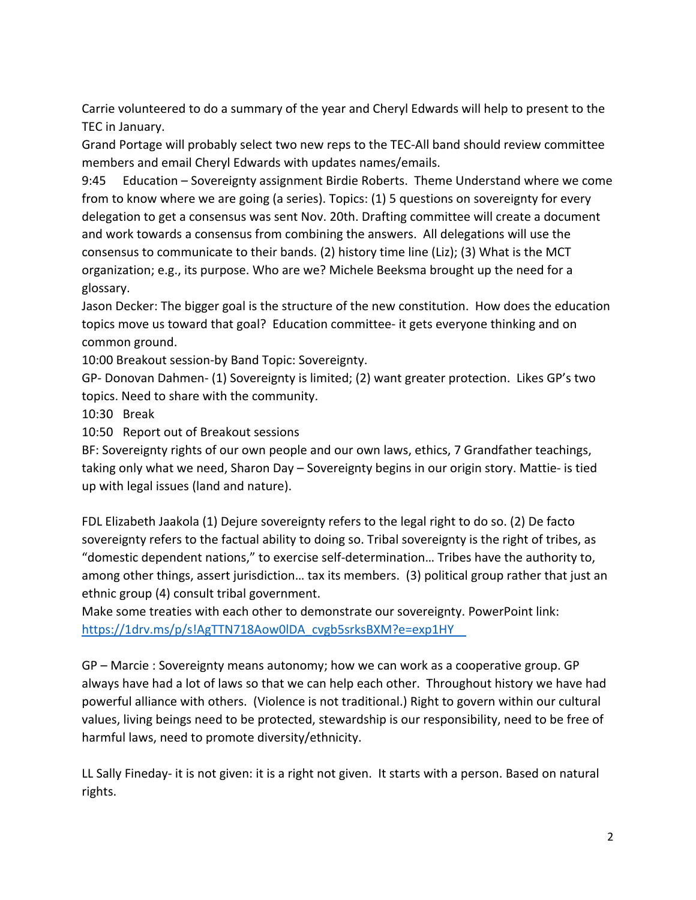Carrie volunteered to do a summary of the year and Cheryl Edwards will help to present to the TEC in January.

Grand Portage will probably select two new reps to the TEC-All band should review committee members and email Cheryl Edwards with updates names/emails.

9:45 Education – Sovereignty assignment Birdie Roberts. Theme Understand where we come from to know where we are going (a series). Topics: (1) 5 questions on sovereignty for every delegation to get a consensus was sent Nov. 20th. Drafting committee will create a document and work towards a consensus from combining the answers. All delegations will use the consensus to communicate to their bands. (2) history time line (Liz); (3) What is the MCT organization; e.g., its purpose. Who are we? Michele Beeksma brought up the need for a glossary.

Jason Decker: The bigger goal is the structure of the new constitution. How does the education topics move us toward that goal? Education committee- it gets everyone thinking and on common ground.

10:00 Breakout session-by Band Topic: Sovereignty.

GP- Donovan Dahmen- (1) Sovereignty is limited; (2) want greater protection. Likes GP's two topics. Need to share with the community.

10:30 Break

10:50 Report out of Breakout sessions

BF: Sovereignty rights of our own people and our own laws, ethics, 7 Grandfather teachings, taking only what we need, Sharon Day – Sovereignty begins in our origin story. Mattie- is tied up with legal issues (land and nature).

FDL Elizabeth Jaakola (1) Dejure sovereignty refers to the legal right to do so. (2) De facto sovereignty refers to the factual ability to doing so. Tribal sovereignty is the right of tribes, as "domestic dependent nations," to exercise self-determination… Tribes have the authority to, among other things, assert jurisdiction… tax its members. (3) political group rather that just an ethnic group (4) consult tribal government.

Make some treaties with each other to demonstrate our sovereignty. PowerPoint link: https://1drv.ms/p/s!AgTTN718Aow0lDA\_cvgb5srksBXM?e=exp1HY

GP – Marcie : Sovereignty means autonomy; how we can work as a cooperative group. GP always have had a lot of laws so that we can help each other. Throughout history we have had powerful alliance with others. (Violence is not traditional.) Right to govern within our cultural values, living beings need to be protected, stewardship is our responsibility, need to be free of harmful laws, need to promote diversity/ethnicity.

LL Sally Fineday- it is not given: it is a right not given. It starts with a person. Based on natural rights.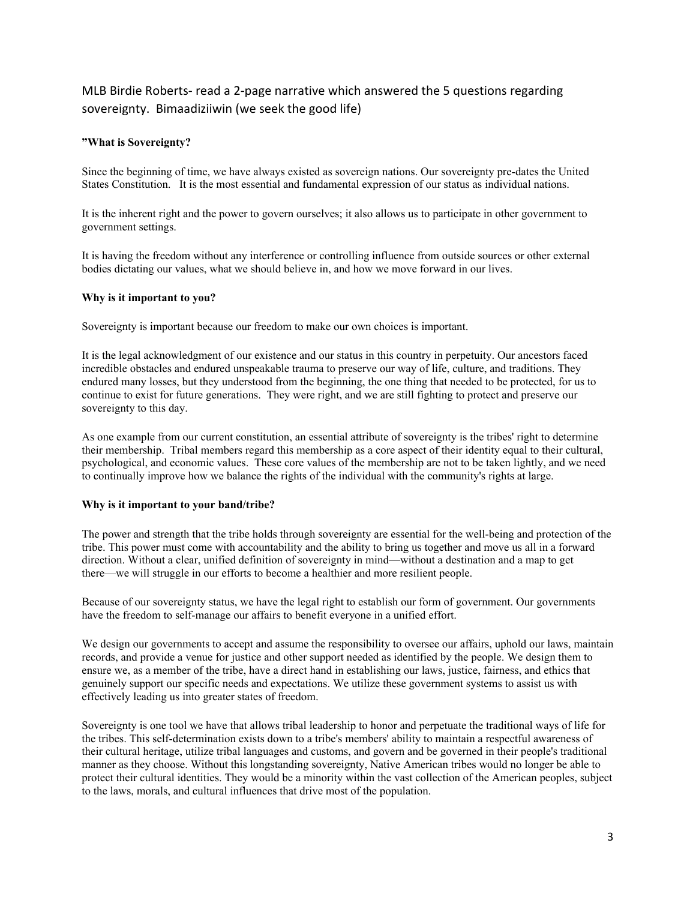# MLB Birdie Roberts- read a 2-page narrative which answered the 5 questions regarding sovereignty. Bimaadiziiwin (we seek the good life)

## **"What is Sovereignty?**

Since the beginning of time, we have always existed as sovereign nations. Our sovereignty pre-dates the United States Constitution. It is the most essential and fundamental expression of our status as individual nations.

It is the inherent right and the power to govern ourselves; it also allows us to participate in other government to government settings.

It is having the freedom without any interference or controlling influence from outside sources or other external bodies dictating our values, what we should believe in, and how we move forward in our lives.

#### **Why is it important to you?**

Sovereignty is important because our freedom to make our own choices is important.

It is the legal acknowledgment of our existence and our status in this country in perpetuity. Our ancestors faced incredible obstacles and endured unspeakable trauma to preserve our way of life, culture, and traditions. They endured many losses, but they understood from the beginning, the one thing that needed to be protected, for us to continue to exist for future generations. They were right, and we are still fighting to protect and preserve our sovereignty to this day.

As one example from our current constitution, an essential attribute of sovereignty is the tribes' right to determine their membership. Tribal members regard this membership as a core aspect of their identity equal to their cultural, psychological, and economic values. These core values of the membership are not to be taken lightly, and we need to continually improve how we balance the rights of the individual with the community's rights at large.

## **Why is it important to your band/tribe?**

The power and strength that the tribe holds through sovereignty are essential for the well-being and protection of the tribe. This power must come with accountability and the ability to bring us together and move us all in a forward direction. Without a clear, unified definition of sovereignty in mind—without a destination and a map to get there—we will struggle in our efforts to become a healthier and more resilient people.

Because of our sovereignty status, we have the legal right to establish our form of government. Our governments have the freedom to self-manage our affairs to benefit everyone in a unified effort.

We design our governments to accept and assume the responsibility to oversee our affairs, uphold our laws, maintain records, and provide a venue for justice and other support needed as identified by the people. We design them to ensure we, as a member of the tribe, have a direct hand in establishing our laws, justice, fairness, and ethics that genuinely support our specific needs and expectations. We utilize these government systems to assist us with effectively leading us into greater states of freedom.

Sovereignty is one tool we have that allows tribal leadership to honor and perpetuate the traditional ways of life for the tribes. This self-determination exists down to a tribe's members' ability to maintain a respectful awareness of their cultural heritage, utilize tribal languages and customs, and govern and be governed in their people's traditional manner as they choose. Without this longstanding sovereignty, Native American tribes would no longer be able to protect their cultural identities. They would be a minority within the vast collection of the American peoples, subject to the laws, morals, and cultural influences that drive most of the population.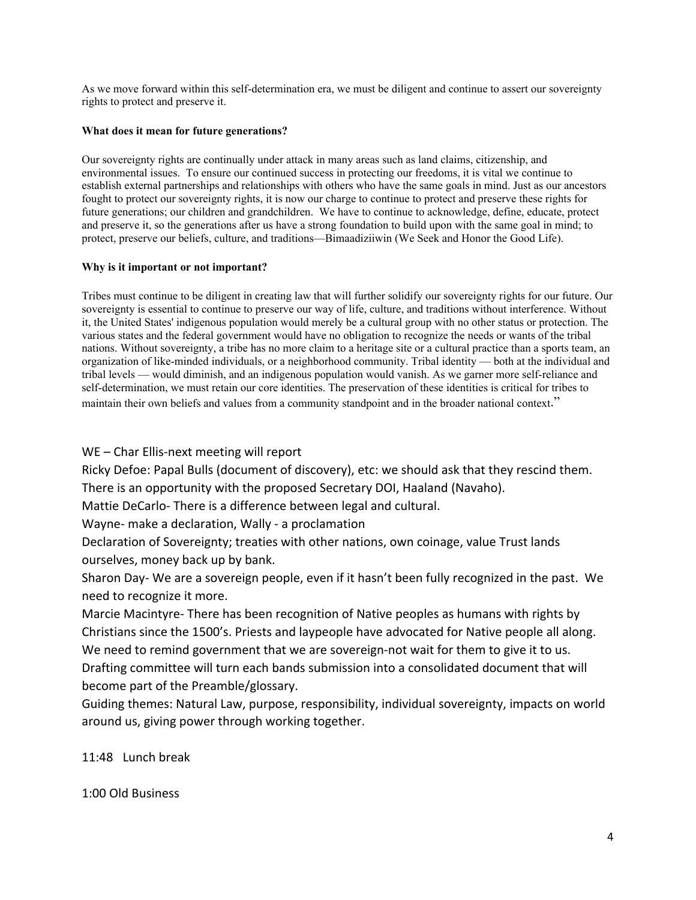As we move forward within this self-determination era, we must be diligent and continue to assert our sovereignty rights to protect and preserve it.

## **What does it mean for future generations?**

Our sovereignty rights are continually under attack in many areas such as land claims, citizenship, and environmental issues. To ensure our continued success in protecting our freedoms, it is vital we continue to establish external partnerships and relationships with others who have the same goals in mind. Just as our ancestors fought to protect our sovereignty rights, it is now our charge to continue to protect and preserve these rights for future generations; our children and grandchildren. We have to continue to acknowledge, define, educate, protect and preserve it, so the generations after us have a strong foundation to build upon with the same goal in mind; to protect, preserve our beliefs, culture, and traditions—Bimaadiziiwin (We Seek and Honor the Good Life).

## **Why is it important or not important?**

Tribes must continue to be diligent in creating law that will further solidify our sovereignty rights for our future. Our sovereignty is essential to continue to preserve our way of life, culture, and traditions without interference. Without it, the United States' indigenous population would merely be a cultural group with no other status or protection. The various states and the federal government would have no obligation to recognize the needs or wants of the tribal nations. Without sovereignty, a tribe has no more claim to a heritage site or a cultural practice than a sports team, an organization of like-minded individuals, or a neighborhood community. Tribal identity — both at the individual and tribal levels — would diminish, and an indigenous population would vanish. As we garner more self-reliance and self-determination, we must retain our core identities. The preservation of these identities is critical for tribes to maintain their own beliefs and values from a community standpoint and in the broader national context."

WE – Char Ellis-next meeting will report

Ricky Defoe: Papal Bulls (document of discovery), etc: we should ask that they rescind them. There is an opportunity with the proposed Secretary DOI, Haaland (Navaho).

Mattie DeCarlo- There is a difference between legal and cultural.

Wayne- make a declaration, Wally - a proclamation

Declaration of Sovereignty; treaties with other nations, own coinage, value Trust lands ourselves, money back up by bank.

Sharon Day- We are a sovereign people, even if it hasn't been fully recognized in the past. We need to recognize it more.

Marcie Macintyre- There has been recognition of Native peoples as humans with rights by Christians since the 1500's. Priests and laypeople have advocated for Native people all along. We need to remind government that we are sovereign-not wait for them to give it to us. Drafting committee will turn each bands submission into a consolidated document that will become part of the Preamble/glossary.

Guiding themes: Natural Law, purpose, responsibility, individual sovereignty, impacts on world around us, giving power through working together.

11:48 Lunch break

1:00 Old Business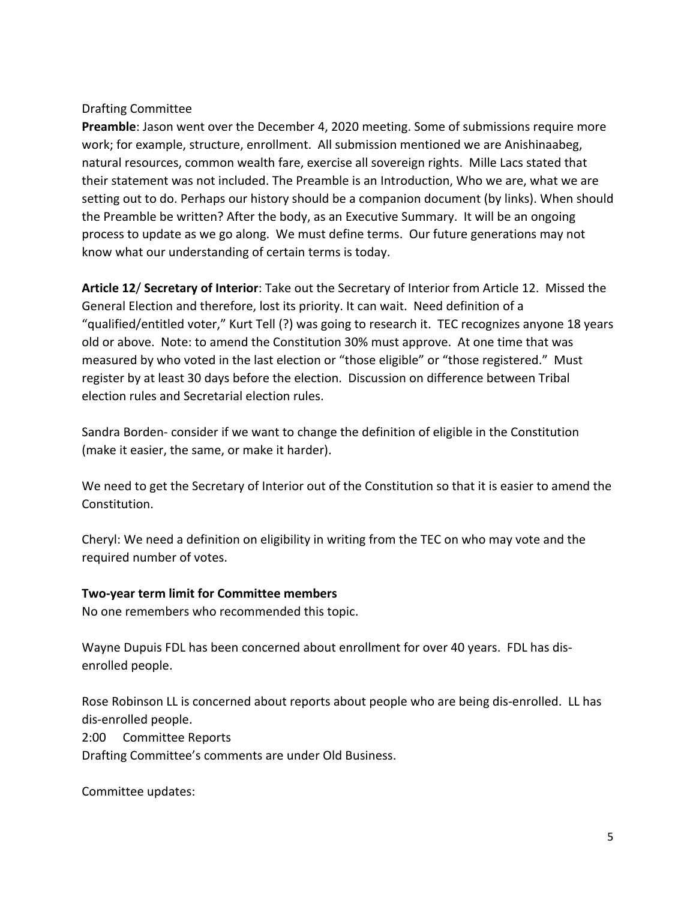# Drafting Committee

**Preamble**: Jason went over the December 4, 2020 meeting. Some of submissions require more work; for example, structure, enrollment. All submission mentioned we are Anishinaabeg, natural resources, common wealth fare, exercise all sovereign rights. Mille Lacs stated that their statement was not included. The Preamble is an Introduction, Who we are, what we are setting out to do. Perhaps our history should be a companion document (by links). When should the Preamble be written? After the body, as an Executive Summary. It will be an ongoing process to update as we go along. We must define terms. Our future generations may not know what our understanding of certain terms is today.

**Article 12**/ **Secretary of Interior**: Take out the Secretary of Interior from Article 12. Missed the General Election and therefore, lost its priority. It can wait. Need definition of a "qualified/entitled voter," Kurt Tell (?) was going to research it. TEC recognizes anyone 18 years old or above. Note: to amend the Constitution 30% must approve. At one time that was measured by who voted in the last election or "those eligible" or "those registered." Must register by at least 30 days before the election. Discussion on difference between Tribal election rules and Secretarial election rules.

Sandra Borden- consider if we want to change the definition of eligible in the Constitution (make it easier, the same, or make it harder).

We need to get the Secretary of Interior out of the Constitution so that it is easier to amend the Constitution.

Cheryl: We need a definition on eligibility in writing from the TEC on who may vote and the required number of votes.

# **Two-year term limit for Committee members**

No one remembers who recommended this topic.

Wayne Dupuis FDL has been concerned about enrollment for over 40 years. FDL has disenrolled people.

Rose Robinson LL is concerned about reports about people who are being dis-enrolled. LL has dis-enrolled people.

2:00 Committee Reports

Drafting Committee's comments are under Old Business.

Committee updates: